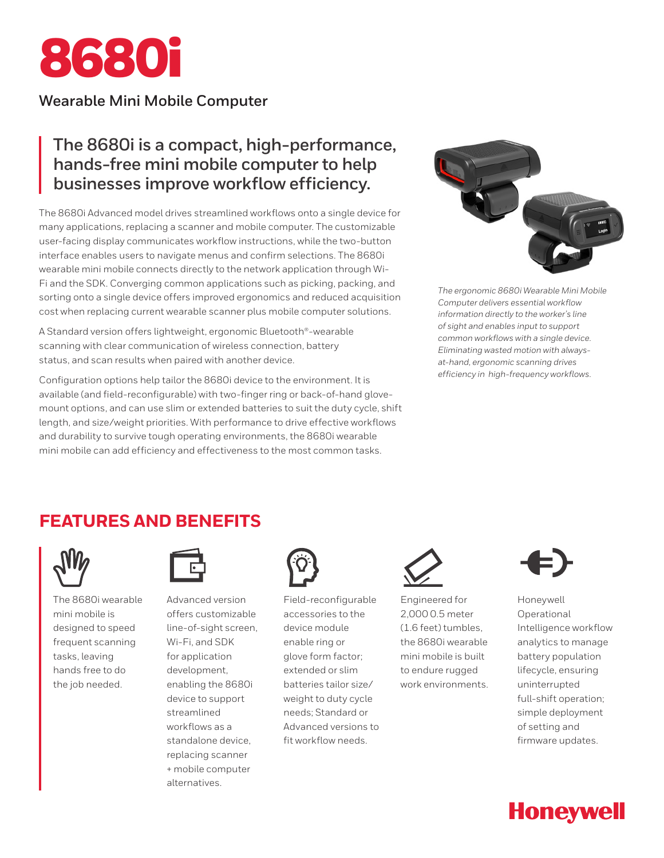

# **Wearable Mini Mobile Computer**

# **The 8680i is a compact, high-performance, hands-free mini mobile computer to help businesses improve workflow efficiency.**

The 8680i Advanced model drives streamlined workflows onto a single device for many applications, replacing a scanner and mobile computer. The customizable user-facing display communicates workflow instructions, while the two-button interface enables users to navigate menus and confirm selections. The 8680i wearable mini mobile connects directly to the network application through Wi-Fi and the SDK. Converging common applications such as picking, packing, and sorting onto a single device offers improved ergonomics and reduced acquisition cost when replacing current wearable scanner plus mobile computer solutions.

A Standard version offers lightweight, ergonomic Bluetooth®-wearable scanning with clear communication of wireless connection, battery status, and scan results when paired with another device.

Configuration options help tailor the 8680i device to the environment. It is available (and field-reconfigurable) with two-finger ring or back-of-hand glovemount options, and can use slim or extended batteries to suit the duty cycle, shift length, and size/weight priorities. With performance to drive effective workflows and durability to survive tough operating environments, the 8680i wearable mini mobile can add efficiency and effectiveness to the most common tasks.



*The ergonomic 8680i Wearable Mini Mobile Computer delivers essential workflow information directly to the worker's line of sight and enables input to support common workflows with a single device. Eliminating wasted motion with alwaysat-hand, ergonomic scanning drives efficiency in high-frequency workflows.*

# **FEATURES AND BENEFITS**



The 8680i wearable mini mobile is designed to speed frequent scanning tasks, leaving hands free to do the job needed.



Advanced version offers customizable line-of-sight screen, Wi-Fi, and SDK for application development, enabling the 8680i device to support streamlined workflows as a standalone device, replacing scanner + mobile computer alternatives.



Field-reconfigurable accessories to the device module enable ring or glove form factor; extended or slim batteries tailor size/ weight to duty cycle needs; Standard or Advanced versions to fit workflow needs.



Engineered for 2,000 0.5 meter (1.6 feet) tumbles, the 8680i wearable mini mobile is built to endure rugged work environments.



Honeywell Operational Intelligence workflow analytics to manage battery population lifecycle, ensuring uninterrupted full-shift operation; simple deployment of setting and firmware updates.